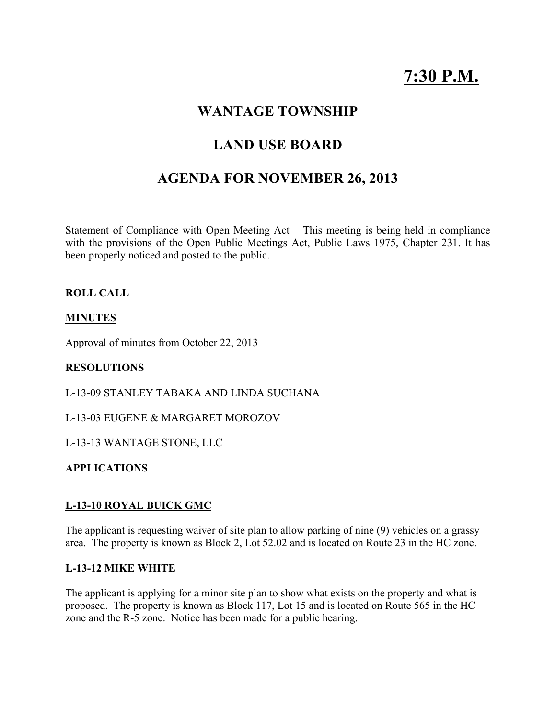# 7:30 P.M.

# WANTAGE TOWNSHIP

# LAND USE BOARD

# AGENDA FOR NOVEMBER 26, 2013

Statement of Compliance with Open Meeting Act – This meeting is being held in compliance with the provisions of the Open Public Meetings Act, Public Laws 1975, Chapter 231. It has been properly noticed and posted to the public.

# ROLL CALL

### **MINUTES**

Approval of minutes from October 22, 2013

#### RESOLUTIONS

L-13-09 STANLEY TABAKA AND LINDA SUCHANA

L-13-03 EUGENE & MARGARET MOROZOV

L-13-13 WANTAGE STONE, LLC

#### APPLICATIONS

### L-13-10 ROYAL BUICK GMC

The applicant is requesting waiver of site plan to allow parking of nine (9) vehicles on a grassy area. The property is known as Block 2, Lot 52.02 and is located on Route 23 in the HC zone.

#### L-13-12 MIKE WHITE

The applicant is applying for a minor site plan to show what exists on the property and what is proposed. The property is known as Block 117, Lot 15 and is located on Route 565 in the HC zone and the R-5 zone. Notice has been made for a public hearing.